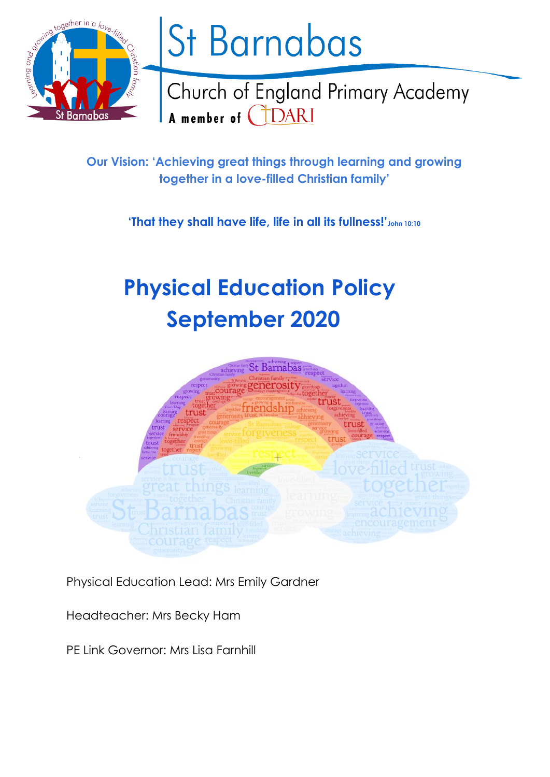

# St Barnabas

Church of England Primary Academy A member of CDARI

**Our Vision: 'Achieving great things through learning and growing together in a love-filled Christian family'**

**'That they shall have life, life in all its fullness!'John 10:10**

# **Physical Education Policy September 2020**



Physical Education Lead: Mrs Emily Gardner

Headteacher: Mrs Becky Ham

PE Link Governor: Mrs Lisa Farnhill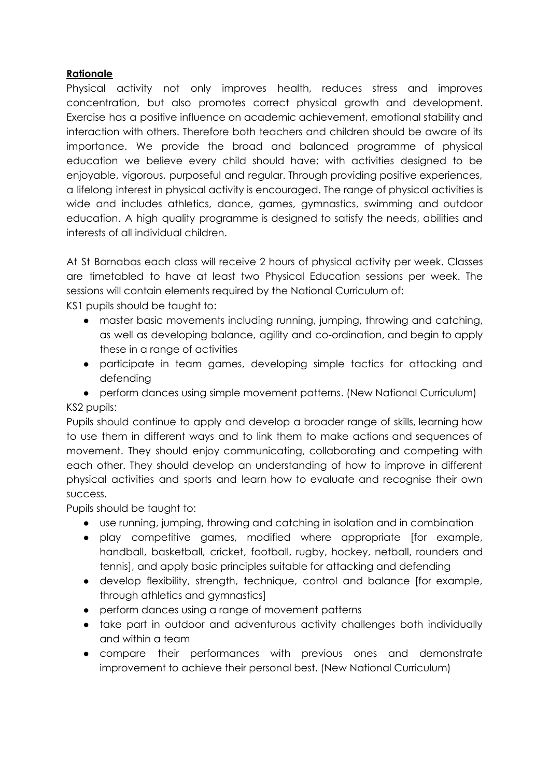# **Rationale**

Physical activity not only improves health, reduces stress and improves concentration, but also promotes correct physical growth and development. Exercise has a positive influence on academic achievement, emotional stability and interaction with others. Therefore both teachers and children should be aware of its importance. We provide the broad and balanced programme of physical education we believe every child should have; with activities designed to be enjoyable, vigorous, purposeful and regular. Through providing positive experiences, a lifelong interest in physical activity is encouraged. The range of physical activities is wide and includes athletics, dance, games, gymnastics, swimming and outdoor education. A high quality programme is designed to satisfy the needs, abilities and interests of all individual children.

At St Barnabas each class will receive 2 hours of physical activity per week. Classes are timetabled to have at least two Physical Education sessions per week. The sessions will contain elements required by the National Curriculum of:

KS1 pupils should be taught to:

- master basic movements including running, jumping, throwing and catching, as well as developing balance, agility and co-ordination, and begin to apply these in a range of activities
- participate in team games, developing simple tactics for attacking and defending
- perform dances using simple movement patterns. (New National Curriculum) KS2 pupils:

Pupils should continue to apply and develop a broader range of skills, learning how to use them in different ways and to link them to make actions and sequences of movement. They should enjoy communicating, collaborating and competing with each other. They should develop an understanding of how to improve in different physical activities and sports and learn how to evaluate and recognise their own success.

Pupils should be taught to:

- use running, jumping, throwing and catching in isolation and in combination
- play competitive games, modified where appropriate [for example, handball, basketball, cricket, football, rugby, hockey, netball, rounders and tennis], and apply basic principles suitable for attacking and defending
- develop flexibility, strength, technique, control and balance [for example, through athletics and gymnastics]
- perform dances using a range of movement patterns
- take part in outdoor and adventurous activity challenges both individually and within a team
- compare their performances with previous ones and demonstrate improvement to achieve their personal best. (New National Curriculum)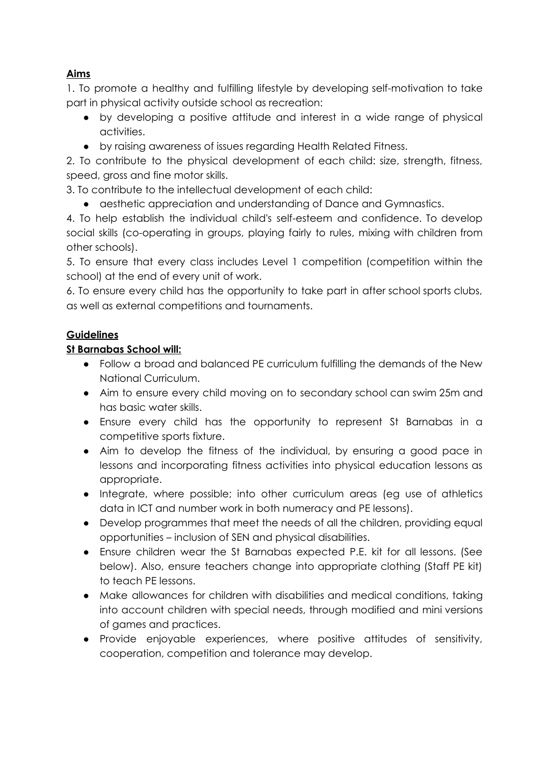# **Aims**

1. To promote a healthy and fulfilling lifestyle by developing self-motivation to take part in physical activity outside school as recreation:

- by developing a positive attitude and interest in a wide range of physical activities.
- by raising awareness of issues regarding Health Related Fitness.

2. To contribute to the physical development of each child: size, strength, fitness, speed, gross and fine motor skills.

3. To contribute to the intellectual development of each child:

• aesthetic appreciation and understanding of Dance and Gymnastics.

4. To help establish the individual child's self-esteem and confidence. To develop social skills (co-operating in groups, playing fairly to rules, mixing with children from other schools).

5. To ensure that every class includes Level 1 competition (competition within the school) at the end of every unit of work.

6. To ensure every child has the opportunity to take part in after school sports clubs, as well as external competitions and tournaments.

# **Guidelines**

# **St Barnabas School will:**

- Follow a broad and balanced PE curriculum fulfilling the demands of the New National Curriculum.
- Aim to ensure every child moving on to secondary school can swim 25m and has basic water skills.
- Ensure every child has the opportunity to represent St Barnabas in a competitive sports fixture.
- Aim to develop the fitness of the individual, by ensuring a good pace in lessons and incorporating fitness activities into physical education lessons as appropriate.
- Integrate, where possible; into other curriculum areas (eg use of athletics data in ICT and number work in both numeracy and PE lessons).
- Develop programmes that meet the needs of all the children, providing equal opportunities – inclusion of SEN and physical disabilities.
- Ensure children wear the St Barnabas expected P.E. kit for all lessons. (See below). Also, ensure teachers change into appropriate clothing (Staff PE kit) to teach PE lessons.
- Make allowances for children with disabilities and medical conditions, taking into account children with special needs, through modified and mini versions of games and practices.
- Provide enjoyable experiences, where positive attitudes of sensitivity, cooperation, competition and tolerance may develop.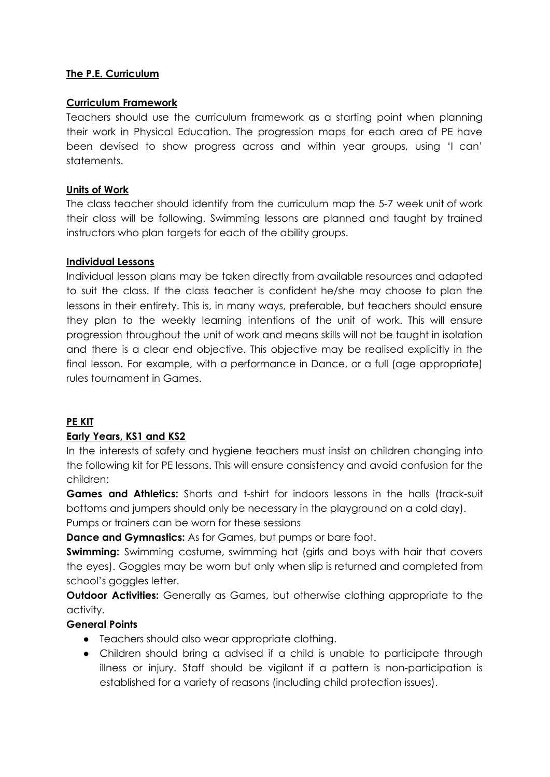### **The P.E. Curriculum**

#### **Curriculum Framework**

Teachers should use the curriculum framework as a starting point when planning their work in Physical Education. The progression maps for each area of PE have been devised to show progress across and within year groups, using 'I can' statements.

#### **Units of Work**

The class teacher should identify from the curriculum map the 5-7 week unit of work their class will be following. Swimming lessons are planned and taught by trained instructors who plan targets for each of the ability groups.

#### **Individual Lessons**

Individual lesson plans may be taken directly from available resources and adapted to suit the class. If the class teacher is confident he/she may choose to plan the lessons in their entirety. This is, in many ways, preferable, but teachers should ensure they plan to the weekly learning intentions of the unit of work. This will ensure progression throughout the unit of work and means skills will not be taught in isolation and there is a clear end objective. This objective may be realised explicitly in the final lesson. For example, with a performance in Dance, or a full (age appropriate) rules tournament in Games.

### **PE KIT**

### **Early Years, KS1 and KS2**

In the interests of safety and hygiene teachers must insist on children changing into the following kit for PE lessons. This will ensure consistency and avoid confusion for the children:

**Games and Athletics:** Shorts and t-shirt for indoors lessons in the halls (track-suit bottoms and jumpers should only be necessary in the playground on a cold day).

Pumps or trainers can be worn for these sessions

**Dance and Gymnastics:** As for Games, but pumps or bare foot.

**Swimming:** Swimming costume, swimming hat (girls and boys with hair that covers the eyes). Goggles may be worn but only when slip is returned and completed from school's goggles letter.

**Outdoor Activities:** Generally as Games, but otherwise clothing appropriate to the activity.

### **General Points**

- Teachers should also wear appropriate clothing.
- Children should bring a advised if a child is unable to participate through illness or injury. Staff should be vigilant if a pattern is non-participation is established for a variety of reasons (including child protection issues).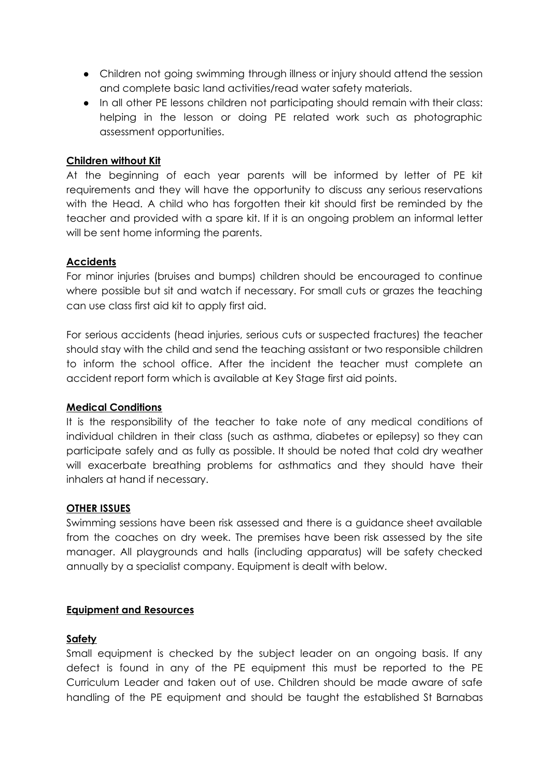- Children not going swimming through illness or injury should attend the session and complete basic land activities/read water safety materials.
- In all other PE lessons children not participating should remain with their class: helping in the lesson or doing PE related work such as photographic assessment opportunities.

### **Children without Kit**

At the beginning of each year parents will be informed by letter of PE kit requirements and they will have the opportunity to discuss any serious reservations with the Head. A child who has forgotten their kit should first be reminded by the teacher and provided with a spare kit. If it is an ongoing problem an informal letter will be sent home informing the parents.

#### **Accidents**

For minor injuries (bruises and bumps) children should be encouraged to continue where possible but sit and watch if necessary. For small cuts or grazes the teaching can use class first aid kit to apply first aid.

For serious accidents (head injuries, serious cuts or suspected fractures) the teacher should stay with the child and send the teaching assistant or two responsible children to inform the school office. After the incident the teacher must complete an accident report form which is available at Key Stage first aid points.

#### **Medical Conditions**

It is the responsibility of the teacher to take note of any medical conditions of individual children in their class (such as asthma, diabetes or epilepsy) so they can participate safely and as fully as possible. It should be noted that cold dry weather will exacerbate breathing problems for asthmatics and they should have their inhalers at hand if necessary.

#### **OTHER ISSUES**

Swimming sessions have been risk assessed and there is a guidance sheet available from the coaches on dry week. The premises have been risk assessed by the site manager. All playgrounds and halls (including apparatus) will be safety checked annually by a specialist company. Equipment is dealt with below.

#### **Equipment and Resources**

#### **Safety**

Small equipment is checked by the subject leader on an ongoing basis. If any defect is found in any of the PE equipment this must be reported to the PE Curriculum Leader and taken out of use. Children should be made aware of safe handling of the PE equipment and should be taught the established St Barnabas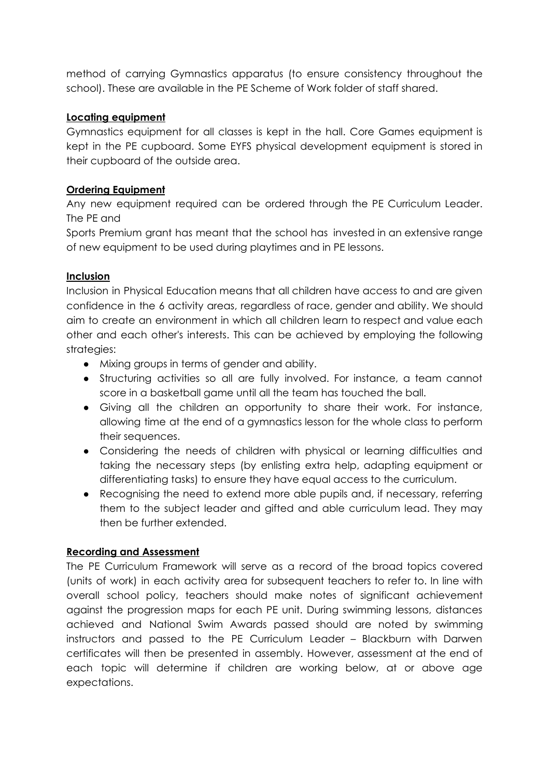method of carrying Gymnastics apparatus (to ensure consistency throughout the school). These are available in the PE Scheme of Work folder of staff shared.

# **Locating equipment**

Gymnastics equipment for all classes is kept in the hall. Core Games equipment is kept in the PE cupboard. Some EYFS physical development equipment is stored in their cupboard of the outside area.

# **Ordering Equipment**

Any new equipment required can be ordered through the PE Curriculum Leader. The PE and

Sports Premium grant has meant that the school has invested in an extensive range of new equipment to be used during playtimes and in PE lessons.

# **Inclusion**

Inclusion in Physical Education means that all children have access to and are given confidence in the 6 activity areas, regardless of race, gender and ability. We should aim to create an environment in which all children learn to respect and value each other and each other's interests. This can be achieved by employing the following strategies:

- Mixing groups in terms of gender and ability.
- Structuring activities so all are fully involved. For instance, a team cannot score in a basketball game until all the team has touched the ball.
- Giving all the children an opportunity to share their work. For instance, allowing time at the end of a gymnastics lesson for the whole class to perform their sequences.
- Considering the needs of children with physical or learning difficulties and taking the necessary steps (by enlisting extra help, adapting equipment or differentiating tasks) to ensure they have equal access to the curriculum.
- Recognising the need to extend more able pupils and, if necessary, referring them to the subject leader and gifted and able curriculum lead. They may then be further extended.

# **Recording and Assessment**

The PE Curriculum Framework will serve as a record of the broad topics covered (units of work) in each activity area for subsequent teachers to refer to. In line with overall school policy, teachers should make notes of significant achievement against the progression maps for each PE unit. During swimming lessons, distances achieved and National Swim Awards passed should are noted by swimming instructors and passed to the PE Curriculum Leader – Blackburn with Darwen certificates will then be presented in assembly. However, assessment at the end of each topic will determine if children are working below, at or above age expectations.